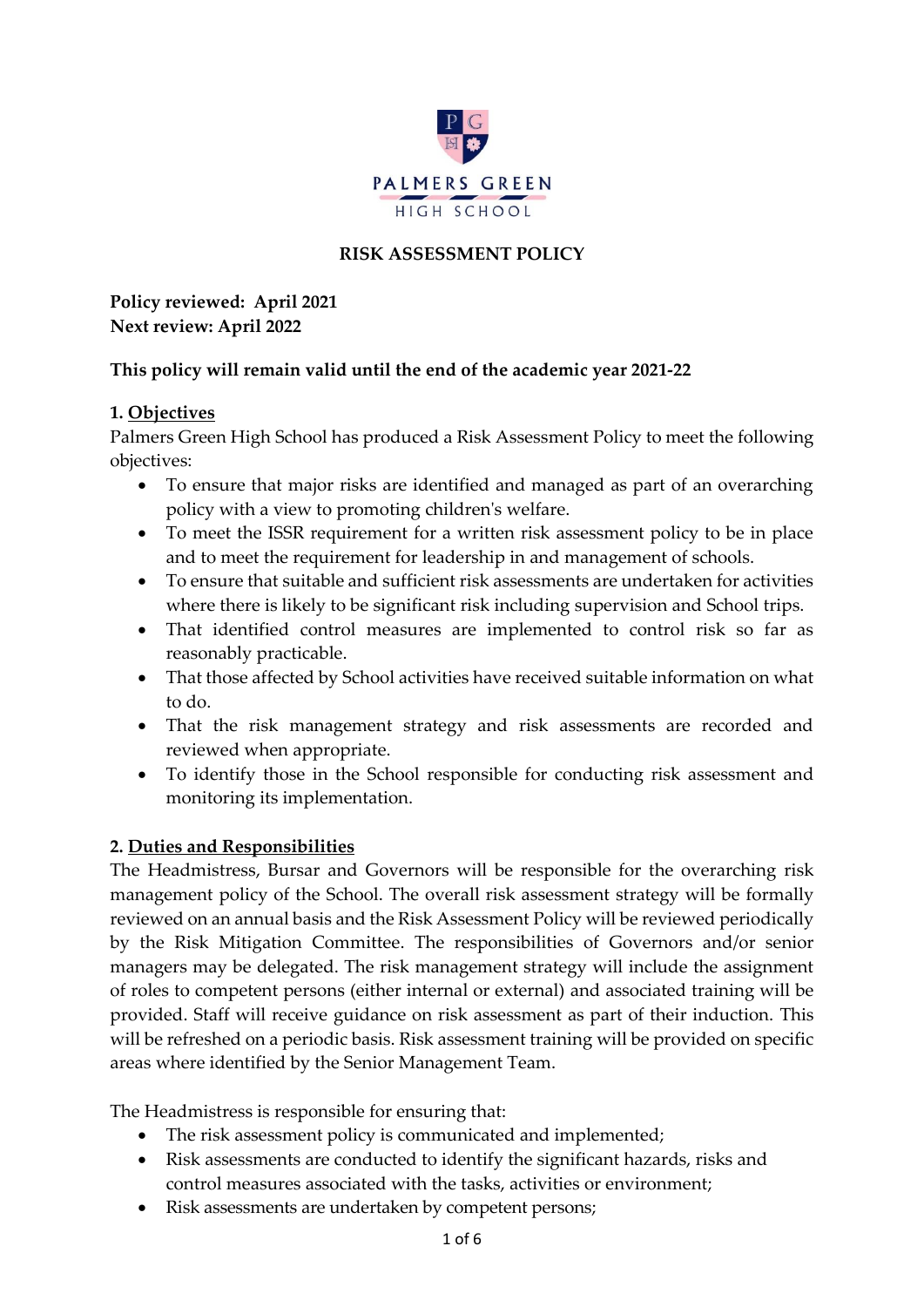

# **RISK ASSESSMENT POLICY**

**Policy reviewed: April 2021 Next review: April 2022**

# **This policy will remain valid until the end of the academic year 2021-22**

### **1. Objectives**

Palmers Green High School has produced a Risk Assessment Policy to meet the following objectives:

- To ensure that major risks are identified and managed as part of an overarching policy with a view to promoting children's welfare.
- To meet the ISSR requirement for a written risk assessment policy to be in place and to meet the requirement for leadership in and management of schools.
- To ensure that suitable and sufficient risk assessments are undertaken for activities where there is likely to be significant risk including supervision and School trips.
- That identified control measures are implemented to control risk so far as reasonably practicable.
- That those affected by School activities have received suitable information on what to do.
- That the risk management strategy and risk assessments are recorded and reviewed when appropriate.
- To identify those in the School responsible for conducting risk assessment and monitoring its implementation.

# **2. Duties and Responsibilities**

The Headmistress, Bursar and Governors will be responsible for the overarching risk management policy of the School. The overall risk assessment strategy will be formally reviewed on an annual basis and the Risk Assessment Policy will be reviewed periodically by the Risk Mitigation Committee. The responsibilities of Governors and/or senior managers may be delegated. The risk management strategy will include the assignment of roles to competent persons (either internal or external) and associated training will be provided. Staff will receive guidance on risk assessment as part of their induction. This will be refreshed on a periodic basis. Risk assessment training will be provided on specific areas where identified by the Senior Management Team.

The Headmistress is responsible for ensuring that:

- The risk assessment policy is communicated and implemented;
- Risk assessments are conducted to identify the significant hazards, risks and control measures associated with the tasks, activities or environment;
- Risk assessments are undertaken by competent persons;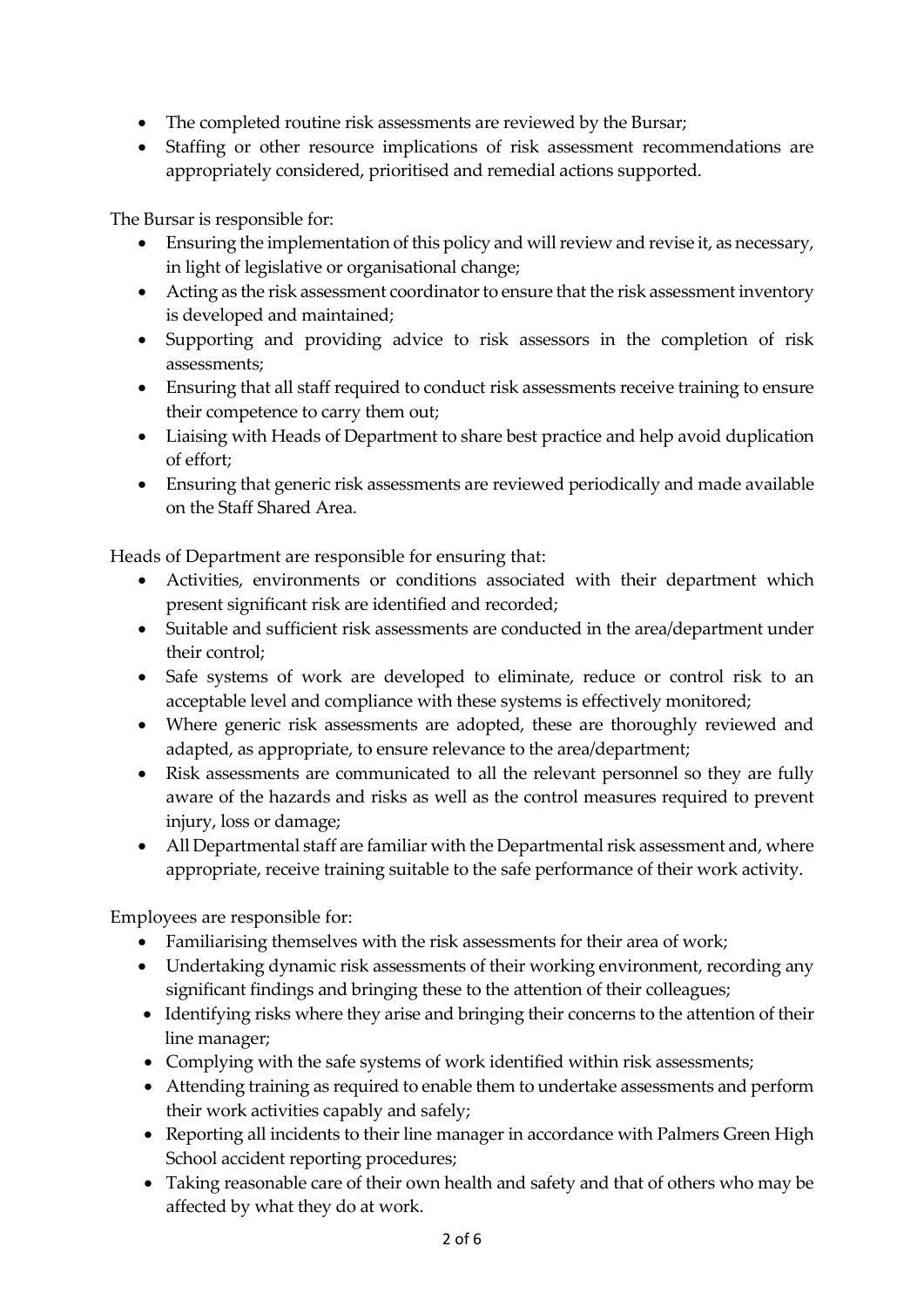- The completed routine risk assessments are reviewed by the Bursar;
- Staffing or other resource implications of risk assessment recommendations are appropriately considered, prioritised and remedial actions supported.

The Bursar is responsible for:

- Ensuring the implementation of this policy and will review and revise it, as necessary, in light of legislative or organisational change;
- Acting as the risk assessment coordinator to ensure that the risk assessment inventory is developed and maintained;
- Supporting and providing advice to risk assessors in the completion of risk assessments;
- Ensuring that all staff required to conduct risk assessments receive training to ensure their competence to carry them out;
- Liaising with Heads of Department to share best practice and help avoid duplication of effort;
- Ensuring that generic risk assessments are reviewed periodically and made available on the Staff Shared Area.

Heads of Department are responsible for ensuring that:

- Activities, environments or conditions associated with their department which present significant risk are identified and recorded;
- Suitable and sufficient risk assessments are conducted in the area/department under their control;
- Safe systems of work are developed to eliminate, reduce or control risk to an acceptable level and compliance with these systems is effectively monitored;
- Where generic risk assessments are adopted, these are thoroughly reviewed and adapted, as appropriate, to ensure relevance to the area/department;
- Risk assessments are communicated to all the relevant personnel so they are fully aware of the hazards and risks as well as the control measures required to prevent injury, loss or damage;
- All Departmental staff are familiar with the Departmental risk assessment and, where appropriate, receive training suitable to the safe performance of their work activity.

Employees are responsible for:

- Familiarising themselves with the risk assessments for their area of work;
- Undertaking dynamic risk assessments of their working environment, recording any significant findings and bringing these to the attention of their colleagues;
- Identifying risks where they arise and bringing their concerns to the attention of their line manager;
- Complying with the safe systems of work identified within risk assessments;
- Attending training as required to enable them to undertake assessments and perform their work activities capably and safely;
- Reporting all incidents to their line manager in accordance with Palmers Green High School accident reporting procedures;
- Taking reasonable care of their own health and safety and that of others who may be affected by what they do at work.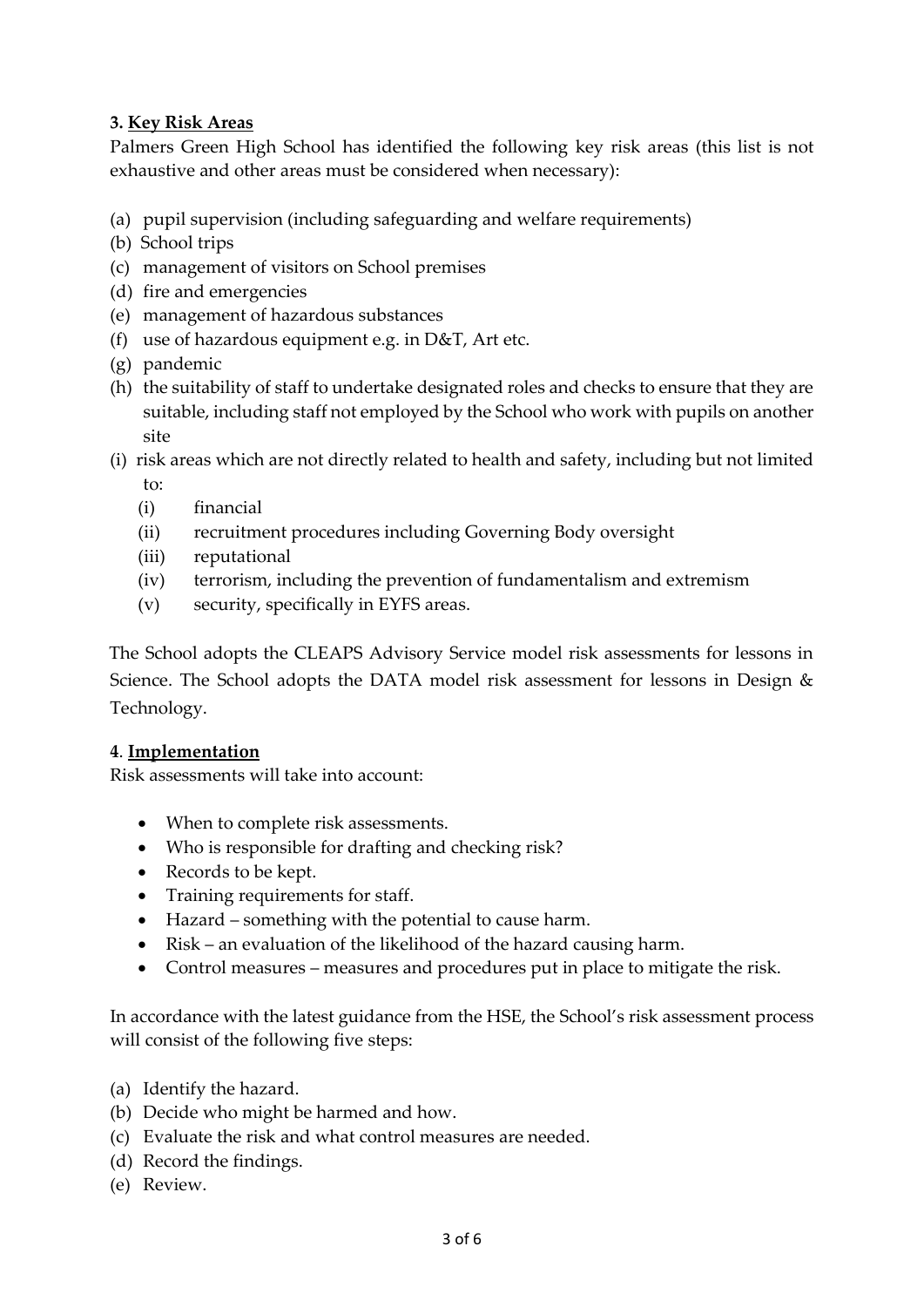# **3. Key Risk Areas**

Palmers Green High School has identified the following key risk areas (this list is not exhaustive and other areas must be considered when necessary):

- (a) pupil supervision (including safeguarding and welfare requirements)
- (b) School trips
- (c) management of visitors on School premises
- (d) fire and emergencies
- (e) management of hazardous substances
- (f) use of hazardous equipment e.g. in D&T, Art etc.
- (g) pandemic
- (h) the suitability of staff to undertake designated roles and checks to ensure that they are suitable, including staff not employed by the School who work with pupils on another site
- (i) risk areas which are not directly related to health and safety, including but not limited to:
	- (i) financial
	- (ii) recruitment procedures including Governing Body oversight
	- (iii) reputational
	- (iv) terrorism, including the prevention of fundamentalism and extremism
	- (v) security, specifically in EYFS areas.

The School adopts the CLEAPS Advisory Service model risk assessments for lessons in Science. The School adopts the DATA model risk assessment for lessons in Design & Technology.

### **4**. **Implementation**

Risk assessments will take into account:

- When to complete risk assessments.
- Who is responsible for drafting and checking risk?
- Records to be kept.
- Training requirements for staff.
- Hazard something with the potential to cause harm.
- Risk an evaluation of the likelihood of the hazard causing harm.
- Control measures measures and procedures put in place to mitigate the risk.

In accordance with the latest guidance from the HSE, the School's risk assessment process will consist of the following five steps:

- (a) Identify the hazard.
- (b) Decide who might be harmed and how.
- (c) Evaluate the risk and what control measures are needed.
- (d) Record the findings.
- (e) Review.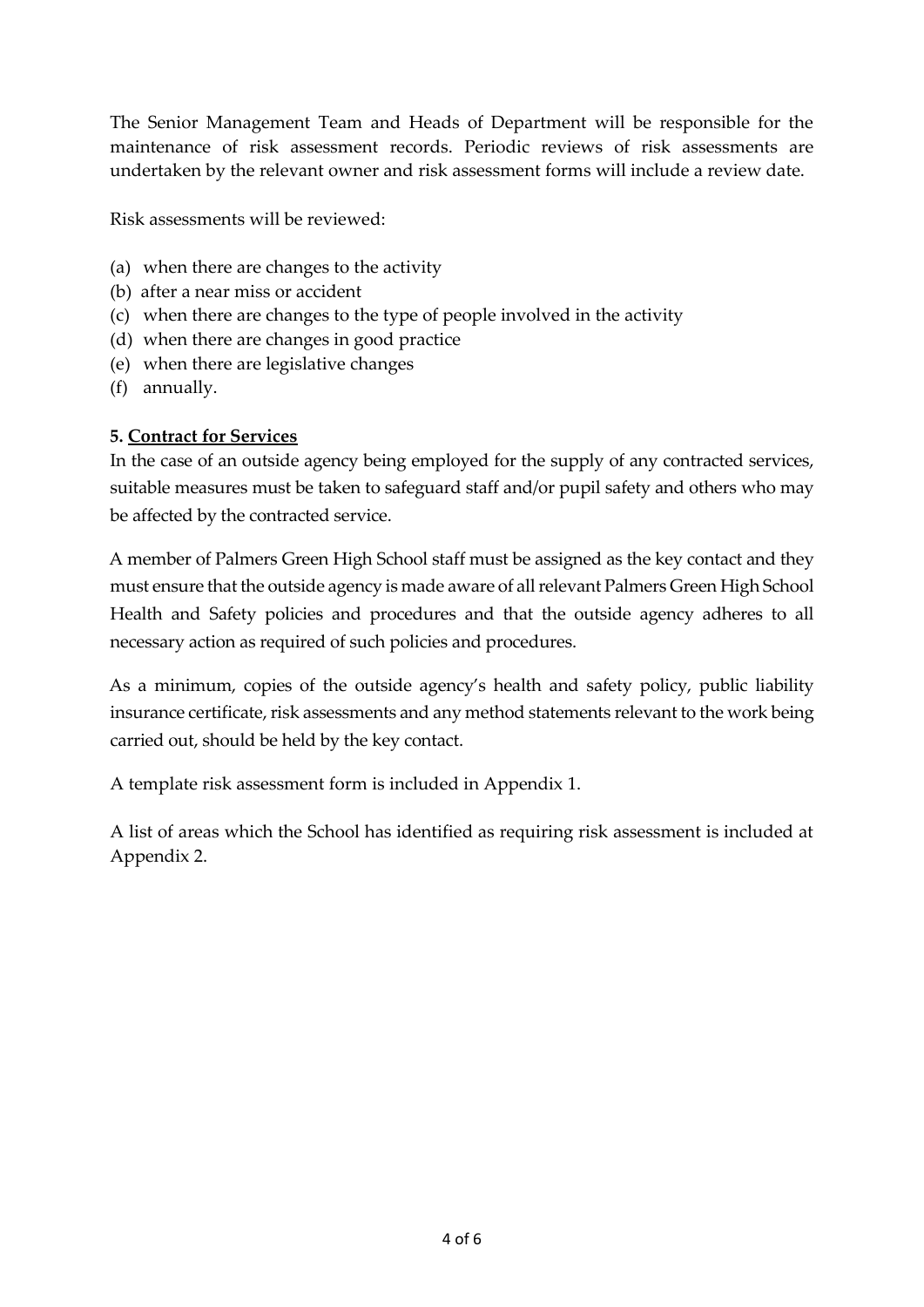The Senior Management Team and Heads of Department will be responsible for the maintenance of risk assessment records. Periodic reviews of risk assessments are undertaken by the relevant owner and risk assessment forms will include a review date.

Risk assessments will be reviewed:

- (a) when there are changes to the activity
- (b) after a near miss or accident
- (c) when there are changes to the type of people involved in the activity
- (d) when there are changes in good practice
- (e) when there are legislative changes
- (f) annually.

### **5. Contract for Services**

In the case of an outside agency being employed for the supply of any contracted services, suitable measures must be taken to safeguard staff and/or pupil safety and others who may be affected by the contracted service.

A member of Palmers Green High School staff must be assigned as the key contact and they must ensure that the outside agency is made aware of all relevant Palmers Green High School Health and Safety policies and procedures and that the outside agency adheres to all necessary action as required of such policies and procedures.

As a minimum, copies of the outside agency's health and safety policy, public liability insurance certificate, risk assessments and any method statements relevant to the work being carried out, should be held by the key contact.

A template risk assessment form is included in Appendix 1.

A list of areas which the School has identified as requiring risk assessment is included at Appendix 2.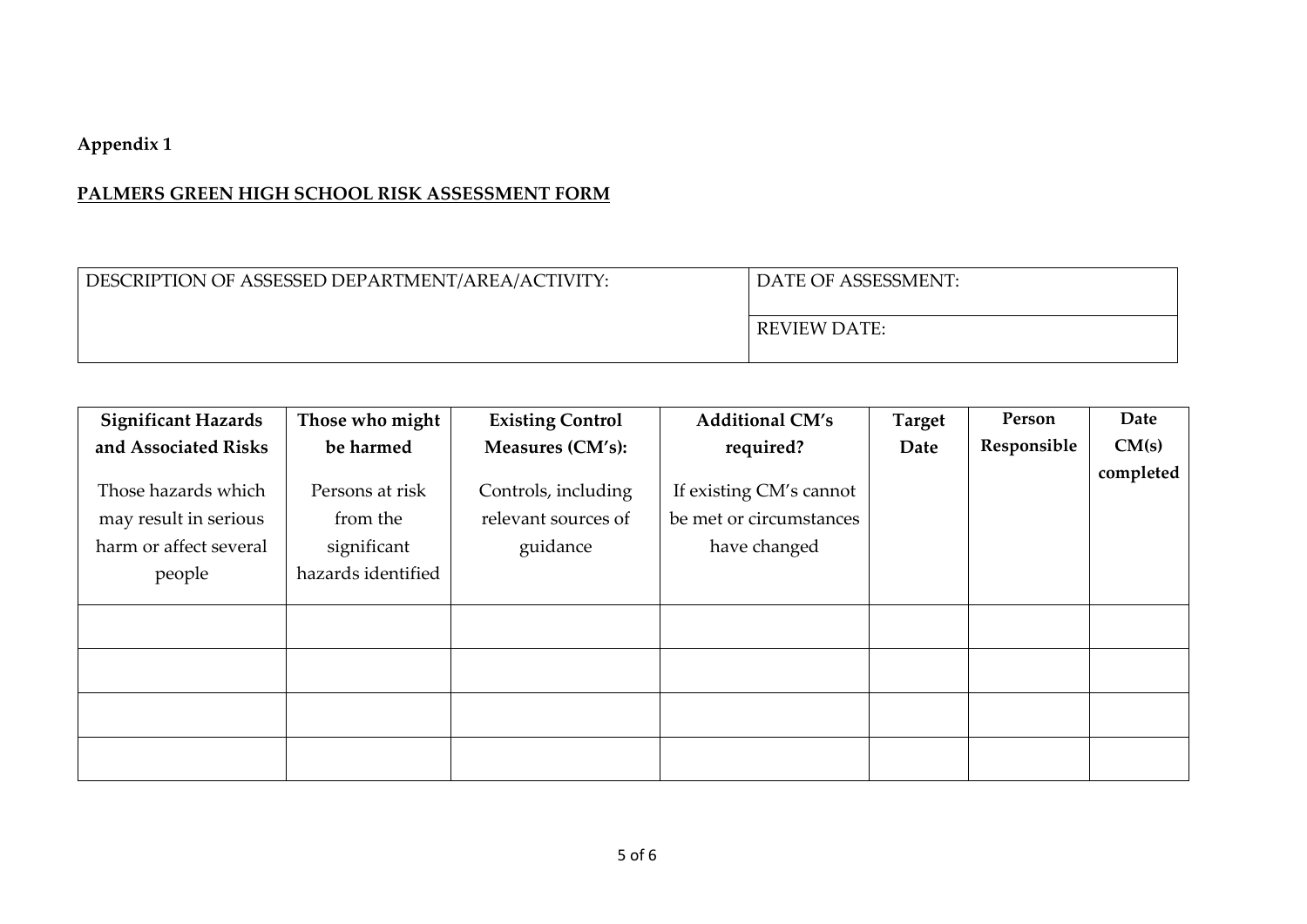# **Appendix 1**

# **PALMERS GREEN HIGH SCHOOL RISK ASSESSMENT FORM**

| DESCRIPTION OF ASSESSED DEPARTMENT/AREA/ACTIVITY: | <sup>1</sup> DATE OF ASSESSMENT: |  |
|---------------------------------------------------|----------------------------------|--|
|                                                   | REVIEW DATE:                     |  |

| <b>Significant Hazards</b> | Those who might    | <b>Existing Control</b> | <b>Additional CM's</b>  | <b>Target</b> | Person      | Date      |
|----------------------------|--------------------|-------------------------|-------------------------|---------------|-------------|-----------|
| and Associated Risks       | be harmed          | Measures (CM's):        | required?               | Date          | Responsible | CM(s)     |
|                            |                    |                         |                         |               |             | completed |
| Those hazards which        | Persons at risk    | Controls, including     | If existing CM's cannot |               |             |           |
| may result in serious      | from the           | relevant sources of     | be met or circumstances |               |             |           |
| harm or affect several     | significant        | guidance                | have changed            |               |             |           |
| people                     | hazards identified |                         |                         |               |             |           |
|                            |                    |                         |                         |               |             |           |
|                            |                    |                         |                         |               |             |           |
|                            |                    |                         |                         |               |             |           |
|                            |                    |                         |                         |               |             |           |
|                            |                    |                         |                         |               |             |           |
|                            |                    |                         |                         |               |             |           |
|                            |                    |                         |                         |               |             |           |